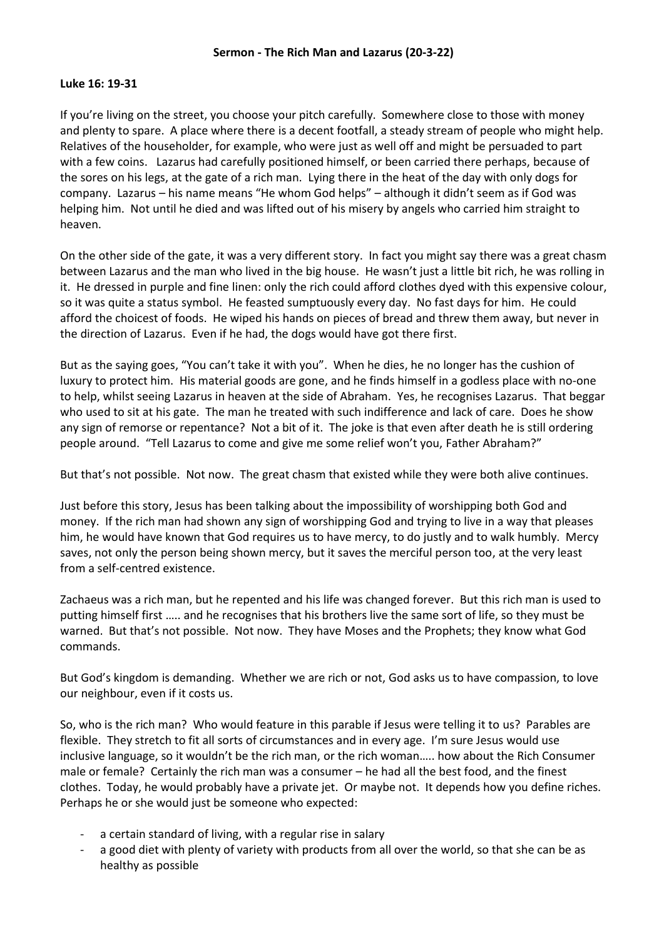## **Luke 16: 19-31**

If you're living on the street, you choose your pitch carefully. Somewhere close to those with money and plenty to spare. A place where there is a decent footfall, a steady stream of people who might help. Relatives of the householder, for example, who were just as well off and might be persuaded to part with a few coins. Lazarus had carefully positioned himself, or been carried there perhaps, because of the sores on his legs, at the gate of a rich man. Lying there in the heat of the day with only dogs for company. Lazarus – his name means "He whom God helps" – although it didn't seem as if God was helping him. Not until he died and was lifted out of his misery by angels who carried him straight to heaven.

On the other side of the gate, it was a very different story. In fact you might say there was a great chasm between Lazarus and the man who lived in the big house. He wasn't just a little bit rich, he was rolling in it. He dressed in purple and fine linen: only the rich could afford clothes dyed with this expensive colour, so it was quite a status symbol. He feasted sumptuously every day. No fast days for him. He could afford the choicest of foods. He wiped his hands on pieces of bread and threw them away, but never in the direction of Lazarus. Even if he had, the dogs would have got there first.

But as the saying goes, "You can't take it with you". When he dies, he no longer has the cushion of luxury to protect him. His material goods are gone, and he finds himself in a godless place with no-one to help, whilst seeing Lazarus in heaven at the side of Abraham. Yes, he recognises Lazarus. That beggar who used to sit at his gate. The man he treated with such indifference and lack of care. Does he show any sign of remorse or repentance? Not a bit of it. The joke is that even after death he is still ordering people around. "Tell Lazarus to come and give me some relief won't you, Father Abraham?"

But that's not possible. Not now. The great chasm that existed while they were both alive continues.

Just before this story, Jesus has been talking about the impossibility of worshipping both God and money. If the rich man had shown any sign of worshipping God and trying to live in a way that pleases him, he would have known that God requires us to have mercy, to do justly and to walk humbly. Mercy saves, not only the person being shown mercy, but it saves the merciful person too, at the very least from a self-centred existence.

Zachaeus was a rich man, but he repented and his life was changed forever. But this rich man is used to putting himself first ….. and he recognises that his brothers live the same sort of life, so they must be warned. But that's not possible. Not now. They have Moses and the Prophets; they know what God commands.

But God's kingdom is demanding. Whether we are rich or not, God asks us to have compassion, to love our neighbour, even if it costs us.

So, who is the rich man? Who would feature in this parable if Jesus were telling it to us? Parables are flexible. They stretch to fit all sorts of circumstances and in every age. I'm sure Jesus would use inclusive language, so it wouldn't be the rich man, or the rich woman….. how about the Rich Consumer male or female? Certainly the rich man was a consumer – he had all the best food, and the finest clothes. Today, he would probably have a private jet. Or maybe not. It depends how you define riches. Perhaps he or she would just be someone who expected:

- a certain standard of living, with a regular rise in salary
- a good diet with plenty of variety with products from all over the world, so that she can be as healthy as possible